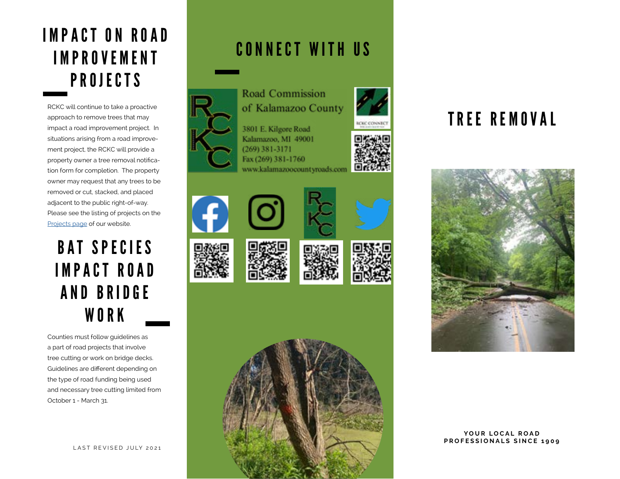### **IMPACT ON ROAD** I M P R O V E M E N T PROJECTS

RCKC will continue to take a proactive approach to remove trees that may impact a road improvement project. In situations arising from a road improvement project, the RCKC will provide a property owner a tree removal notification form for completion. The property owner may request that any trees to be removed or cut, stacked, and placed adjacent to the public right-of-way. Please see the listing of projects on the [Projects page](https://www.kalamazoocountyroads.com/projects.php) of our website.

### BAT SPECIES IMPACT ROAD AND BRIDGE WORK

Counties must follow guidelines as a part of road projects that involve tree cutting or work on bridge decks. Guidelines are different depending on the type of road funding being used and necessary tree cutting limited from October 1 - March 31.

### CONNECT WITH US



**Road Commission** of Kalamazoo County





















YOUR LOCAL ROAD **PROFESSIONALS SINCE 1909**